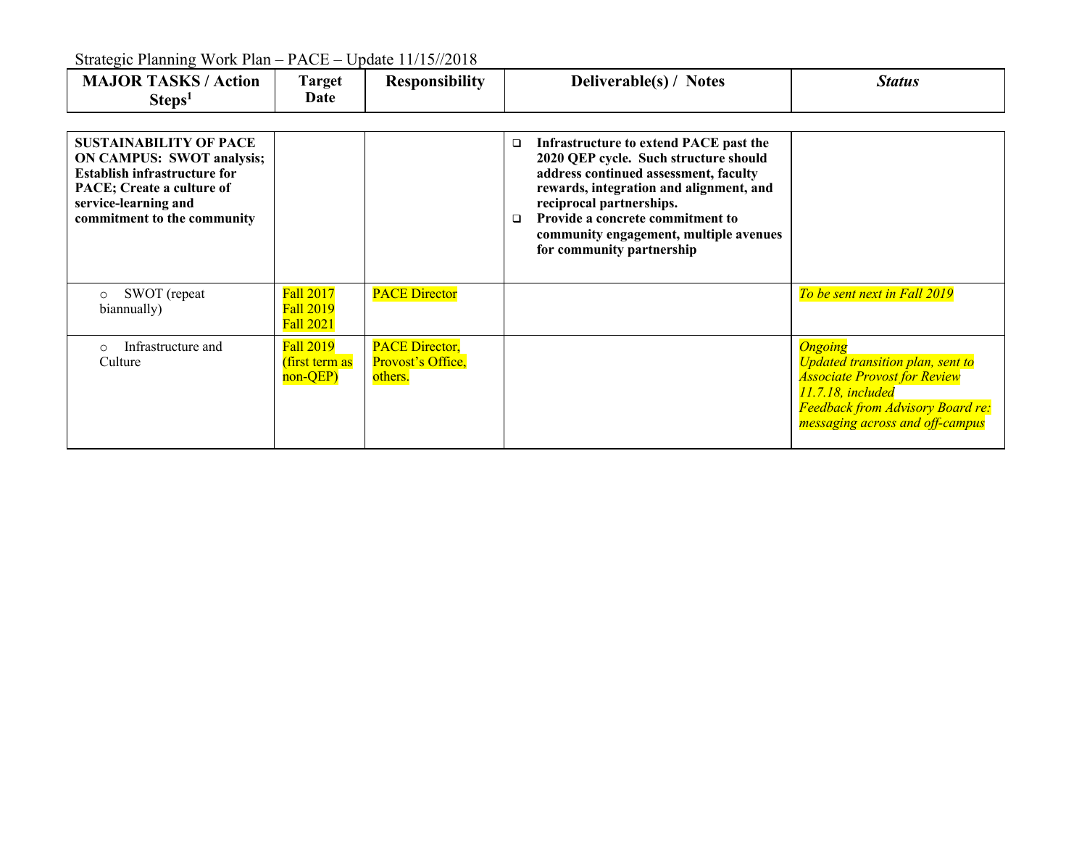| $\sum_{i=1}^{n}$                                                                                                                                                                             |                                                          |                                                       |                                                                                                                                                                                                                                                                                                                                |                                                                                                                                                                                                     |  |  |  |
|----------------------------------------------------------------------------------------------------------------------------------------------------------------------------------------------|----------------------------------------------------------|-------------------------------------------------------|--------------------------------------------------------------------------------------------------------------------------------------------------------------------------------------------------------------------------------------------------------------------------------------------------------------------------------|-----------------------------------------------------------------------------------------------------------------------------------------------------------------------------------------------------|--|--|--|
| <b>MAJOR TASKS / Action</b><br>Steps <sup>1</sup>                                                                                                                                            | <b>Target</b><br>Date                                    | <b>Responsibility</b>                                 | Deliverable(s) / Notes                                                                                                                                                                                                                                                                                                         | <b>Status</b>                                                                                                                                                                                       |  |  |  |
| <b>SUSTAINABILITY OF PACE</b><br><b>ON CAMPUS: SWOT analysis;</b><br><b>Establish infrastructure for</b><br>PACE; Create a culture of<br>service-learning and<br>commitment to the community |                                                          |                                                       | Infrastructure to extend PACE past the<br>$\Box$<br>2020 QEP cycle. Such structure should<br>address continued assessment, faculty<br>rewards, integration and alignment, and<br>reciprocal partnerships.<br>Provide a concrete commitment to<br>$\Box$<br>community engagement, multiple avenues<br>for community partnership |                                                                                                                                                                                                     |  |  |  |
| SWOT (repeat<br>$\circ$<br>biannually)                                                                                                                                                       | <b>Fall 2017</b><br><b>Fall 2019</b><br><b>Fall 2021</b> | <b>PACE Director</b>                                  |                                                                                                                                                                                                                                                                                                                                | To be sent next in Fall 2019                                                                                                                                                                        |  |  |  |
| Infrastructure and<br>$\Omega$<br>Culture                                                                                                                                                    | Fall 2019<br><u>(first term as</u><br>non-QEP)           | <b>PACE Director,</b><br>Provost's Office,<br>others. |                                                                                                                                                                                                                                                                                                                                | <b>Ongoing</b><br><b>Updated transition plan, sent to</b><br><b>Associate Provost for Review</b><br>11.7.18, included<br><b>Feedback from Advisory Board re:</b><br>messaging across and off-campus |  |  |  |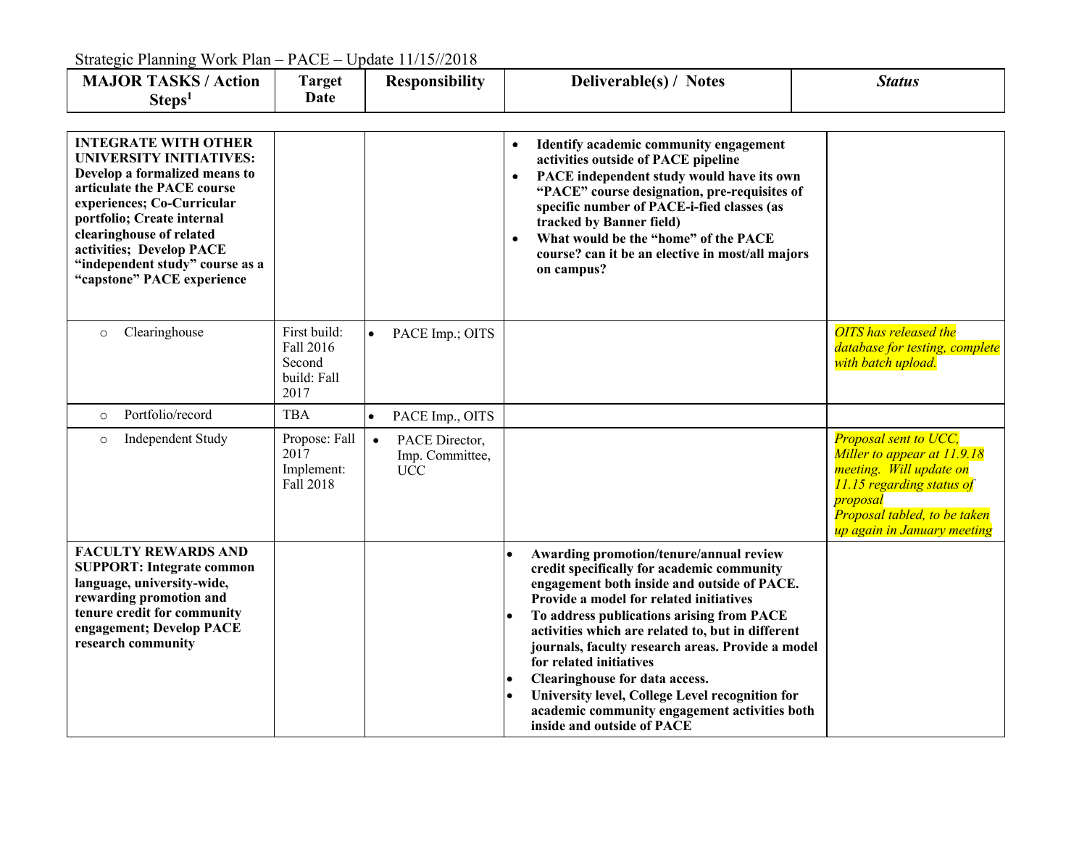| <b>MAJOR TASKS / Action</b><br>Steps <sup>1</sup>                                                                                                                                                                                                                                                                 | <b>Target</b><br>Date                                      |           | <b>Responsibility</b>                           |                                     | Deliverable(s) / Notes                                                                                                                                                                                                                                                                                                                                                                                                                                                                                                                | <b>Status</b>                                                                                                                                                                           |
|-------------------------------------------------------------------------------------------------------------------------------------------------------------------------------------------------------------------------------------------------------------------------------------------------------------------|------------------------------------------------------------|-----------|-------------------------------------------------|-------------------------------------|---------------------------------------------------------------------------------------------------------------------------------------------------------------------------------------------------------------------------------------------------------------------------------------------------------------------------------------------------------------------------------------------------------------------------------------------------------------------------------------------------------------------------------------|-----------------------------------------------------------------------------------------------------------------------------------------------------------------------------------------|
| <b>INTEGRATE WITH OTHER</b><br><b>UNIVERSITY INITIATIVES:</b><br>Develop a formalized means to<br>articulate the PACE course<br>experiences; Co-Curricular<br>portfolio; Create internal<br>clearinghouse of related<br>activities; Develop PACE<br>"independent study" course as a<br>"capstone" PACE experience |                                                            |           |                                                 | $\bullet$<br>$\bullet$<br>$\bullet$ | Identify academic community engagement<br>activities outside of PACE pipeline<br>PACE independent study would have its own<br>"PACE" course designation, pre-requisites of<br>specific number of PACE-i-fied classes (as<br>tracked by Banner field)<br>What would be the "home" of the PACE<br>course? can it be an elective in most/all majors<br>on campus?                                                                                                                                                                        |                                                                                                                                                                                         |
| Clearinghouse<br>$\circ$                                                                                                                                                                                                                                                                                          | First build:<br>Fall 2016<br>Second<br>build: Fall<br>2017 | $\bullet$ | PACE Imp.; OITS                                 |                                     |                                                                                                                                                                                                                                                                                                                                                                                                                                                                                                                                       | <b>OITS</b> has released the<br>database for testing, complete<br>with batch upload.                                                                                                    |
| Portfolio/record<br>$\circ$                                                                                                                                                                                                                                                                                       | <b>TBA</b>                                                 | $\bullet$ | PACE Imp., OITS                                 |                                     |                                                                                                                                                                                                                                                                                                                                                                                                                                                                                                                                       |                                                                                                                                                                                         |
| Independent Study<br>$\circ$                                                                                                                                                                                                                                                                                      | Propose: Fall<br>2017<br>Implement:<br>Fall 2018           | $\bullet$ | PACE Director,<br>Imp. Committee,<br><b>UCC</b> |                                     |                                                                                                                                                                                                                                                                                                                                                                                                                                                                                                                                       | Proposal sent to UCC,<br>Miller to appear at 11.9.18<br>meeting. Will update on<br>11.15 regarding status of<br>proposal<br>Proposal tabled, to be taken<br>up again in January meeting |
| <b>FACULTY REWARDS AND</b><br><b>SUPPORT: Integrate common</b><br>language, university-wide,<br>rewarding promotion and<br>tenure credit for community<br>engagement; Develop PACE<br>research community                                                                                                          |                                                            |           |                                                 | $\bullet$                           | Awarding promotion/tenure/annual review<br>credit specifically for academic community<br>engagement both inside and outside of PACE.<br>Provide a model for related initiatives<br>To address publications arising from PACE<br>activities which are related to, but in different<br>journals, faculty research areas. Provide a model<br>for related initiatives<br>Clearinghouse for data access.<br>University level, College Level recognition for<br>academic community engagement activities both<br>inside and outside of PACE |                                                                                                                                                                                         |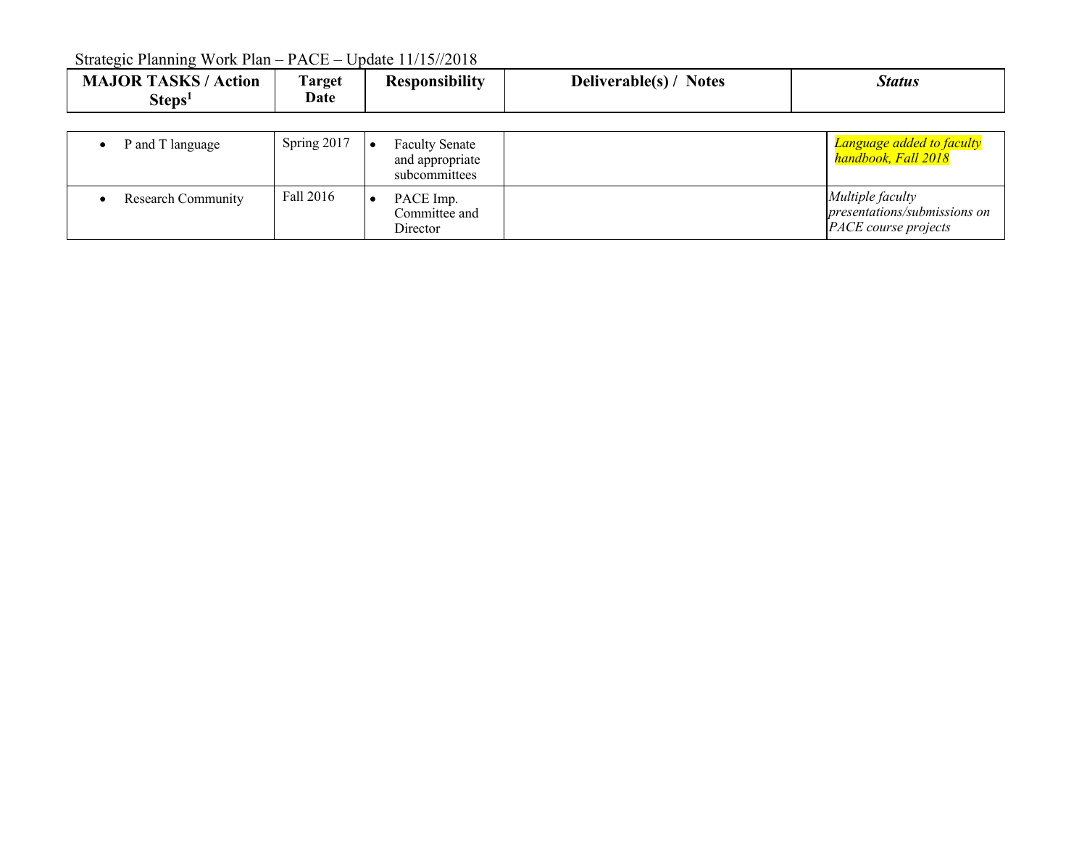| <b>JOR TASKS</b><br><br><b>CONT</b><br><b>Notes</b><br>Deliverable(s)/<br>Status<br>MAJOR<br>l`arget<br>Action<br>Kesponsıbılıtv<br><b>Date</b><br>steps' |
|-----------------------------------------------------------------------------------------------------------------------------------------------------------|
|-----------------------------------------------------------------------------------------------------------------------------------------------------------|

| P and T language   | Spring 2017 | <b>Faculty Senate</b><br>and appropriate<br>subcommittees | Language added to faculty<br>handbook, Fall 2018                                |
|--------------------|-------------|-----------------------------------------------------------|---------------------------------------------------------------------------------|
| Research Community | Fall 2016   | PACE Imp.<br>Committee and<br>Director                    | Multiple faculty<br>presentations/submissions on<br><i>PACE course projects</i> |